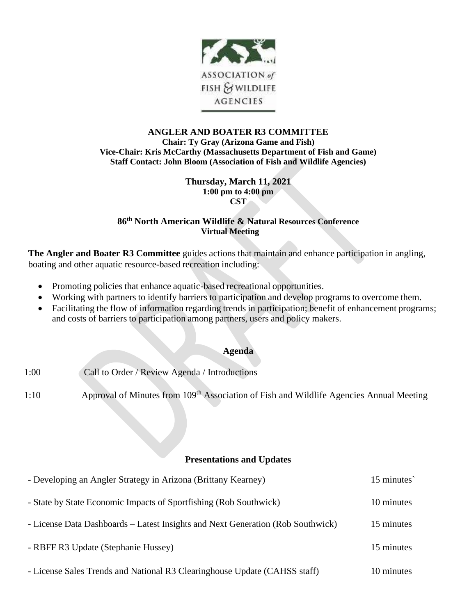

### **ANGLER AND BOATER R3 COMMITTEE Chair: Ty Gray (Arizona Game and Fish) Vice-Chair: Kris McCarthy (Massachusetts Department of Fish and Game) Staff Contact: John Bloom (Association of Fish and Wildlife Agencies)**

**Thursday, March 11, 2021 1:00 pm to 4:00 pm CST**

# **86 th North American Wildlife & Natural Resources Conference Virtual Meeting**

**The Angler and Boater R3 Committee** guides actions that maintain and enhance participation in angling, boating and other aquatic resource-based recreation including:

- Promoting policies that enhance aquatic-based recreational opportunities.
- Working with partners to identify barriers to participation and develop programs to overcome them.
- Facilitating the flow of information regarding trends in participation; benefit of enhancement programs; and costs of barriers to participation among partners, users and policy makers.

### **Agenda**

1:00 Call to Order / Review Agenda / Introductions

1:10 Approval of Minutes from 109<sup>th</sup> Association of Fish and Wildlife Agencies Annual Meeting

#### **Presentations and Updates**

| - Developing an Angler Strategy in Arizona (Brittany Kearney)                   | 15 minutes |
|---------------------------------------------------------------------------------|------------|
| - State by State Economic Impacts of Sportfishing (Rob Southwick)               | 10 minutes |
| - License Data Dashboards – Latest Insights and Next Generation (Rob Southwick) | 15 minutes |
| - RBFF R3 Update (Stephanie Hussey)                                             | 15 minutes |
| - License Sales Trends and National R3 Clearinghouse Update (CAHSS staff)       | 10 minutes |